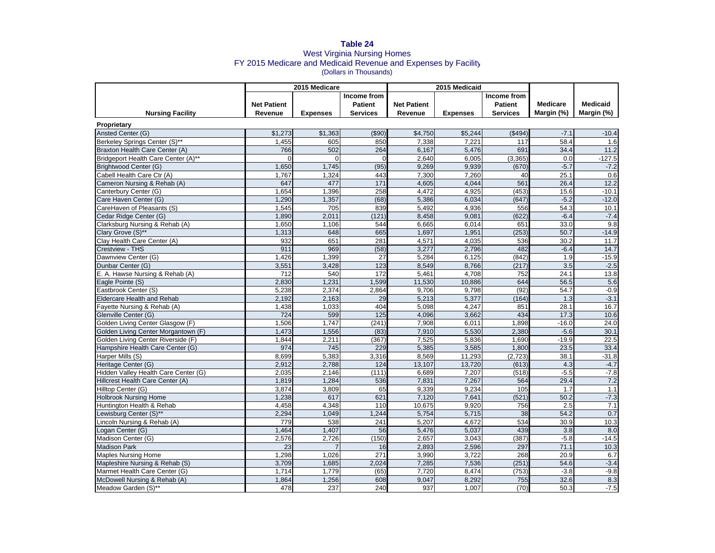## **Table 24** West Virginia Nursing Homes FY 2015 Medicare and Medicaid Revenue and Expenses by Facility (Dollars in Thousands)

|                                      |                    | 2015 Medicare   |                  |                    | 2015 Medicaid   |                 |                 |                 |
|--------------------------------------|--------------------|-----------------|------------------|--------------------|-----------------|-----------------|-----------------|-----------------|
|                                      |                    |                 | Income from      |                    |                 | Income from     |                 |                 |
|                                      | <b>Net Patient</b> |                 | <b>Patient</b>   | <b>Net Patient</b> |                 | <b>Patient</b>  | <b>Medicare</b> | <b>Medicaid</b> |
| <b>Nursing Facility</b>              | Revenue            | <b>Expenses</b> | <b>Services</b>  | Revenue            | <b>Expenses</b> | <b>Services</b> | Margin (%)      | Margin (%)      |
| Proprietary                          |                    |                 |                  |                    |                 |                 |                 |                 |
| Ansted Center (G)                    | \$1,273            | \$1,363         | ( \$90)          | \$4,750            | \$5,244         | (\$494)         | $-7.1$          | $-10.4$         |
| Berkeley Springs Center (S)**        | 1.455              | 605             | 850              | 7.338              | 7.221           | 117             | 58.4            | 1.6             |
| Braxton Health Care Center (A)       | 766                | 502             | 264              | 6,167              | 5.476           | 691             | 34.4            | 11.2            |
| Bridgeport Health Care Center (A)**  | $\Omega$           | $\Omega$        | $\Omega$         | 2.640              | 6.005           | (3, 365)        | 0.0             | $-127.5$        |
| Brightwood Center (G)                | 1,650              | 1,745           | (95)             | 9,269              | 9,939           | (670)           | $-5.7$          | $-7.2$          |
| Cabell Health Care Ctr (A)           | 1,767              | 1,324           | 443              | 7,300              | 7,260           | 40              | 25.1            | 0.6             |
| Cameron Nursing & Rehab (A)          | 647                | 477             | $\overline{171}$ | 4,605              | 4,044           | 561             | 26.4            | 12.2            |
| Canterbury Center (G)                | 1,654              | 1,396           | 258              | 4,472              | 4,925           | (453)           | 15.6            | $-10.1$         |
| Care Haven Center (G)                | 1,290              | 1,357           | (68)             | 5,386              | 6,034           | (647)           | $-5.2$          | $-12.0$         |
| CareHaven of Pleasants (S)           | 1,545              | 705             | 839              | 5,492              | 4,936           | 556             | 54.3            | 10.1            |
| Cedar Ridge Center (G)               | 1,890              | 2,011           | (121)            | 8,458              | 9,081           | (622)           | $-6.4$          | $-7.4$          |
| Clarksburg Nursing & Rehab (A)       | 1.650              | 1.106           | 544              | 6,665              | 6.014           | 651             | 33.0            | 9.8             |
| Clary Grove (S)**                    | 1,313              | 648             | 665              | 1,697              | 1,951           | (253)           | 50.7            | $-14.9$         |
| Clay Health Care Center (A)          | 932                | 651             | 281              | 4,571              | 4.035           | 536             | 30.2            | 11.7            |
| Crestview - THS                      | 911                | 969             | (58)             | 3,277              | 2,796           | 482             | $-6.4$          | 14.7            |
| Dawnview Center (G)                  | 1,426              | 1,399           | 27               | 5,284              | 6,125           | (842)           | 1.9             | $-15.9$         |
| Dunbar Center (G)                    | 3,551              | 3,428           | 123              | 8,549              | 8,766           | (217)           | 3.5             | $-2.5$          |
| E. A. Hawse Nursing & Rehab (A)      | 712                | 540             | 172              | 5,461              | 4.708           | 752             | 24.1            | 13.8            |
| Eagle Pointe (S)                     | 2,830              | 1,231           | 1,599            | 11,530             | 10,886          | 644             | 56.5            | 5.6             |
| Eastbrook Center (S)                 | 5,238              | 2,374           | 2,864            | 9,706              | 9,798           | (92)            | 54.7            | $-0.9$          |
| <b>Eldercare Health and Rehab</b>    | 2,192              | 2,163           | 29               | 5,213              | 5,377           | (164)           | 1.3             | $-3.1$          |
| Fayette Nursing & Rehab (A)          | 1,438              | 1,033           | 404              | 5,098              | 4,247           | 851             | 28.7            | 16.7            |
| Glenville Center (G)                 | 724                | 599             | 125              | 4,096              | 3,662           | 434             | 17.3            | 10.6            |
| Golden Living Center Glasgow (F)     | 1,506              | 1,747           | (241)            | 7,908              | 6,011           | 1,898           | $-16.0$         | 24.0            |
| Golden Living Center Morgantown (F)  | 1,473              | 1,556           | (83)             | 7,910              | 5,530           | 2,380           | $-5.6$          | 30.1            |
| Golden Living Center Riverside (F)   | 1,844              | 2,211           | (367)            | 7,525              | 5,836           | 1,690           | $-19.9$         | 22.5            |
| Hampshire Health Care Center (G)     | 974                | 745             | 229              | 5,385              | 3,585           | 1,800           | 23.5            | 33.4            |
| Harper Mills (S)                     | 8,699              | 5,383           | 3,316            | 8,569              | 11,293          | (2, 723)        | 38.1            | $-31.8$         |
| Heritage Center (G)                  | 2,912              | 2,788           | 124              | 13,107             | 13,720          | (613)           | 4.3             | $-4.7$          |
| Hidden Valley Health Care Center (G) | 2,035              | 2,146           | (111)            | 6,689              | 7,207           | (518)           | $-5.5$          | $-7.8$          |
| Hillcrest Health Care Center (A)     | 1,819              | 1.284           | 536              | 7,831              | 7,267           | 564             | 29.4            | 7.2             |
| Hilltop Center (G)                   | 3,874              | 3,809           | 65               | 9,339              | 9,234           | 105             | 1.7             | 1.1             |
| <b>Holbrook Nursing Home</b>         | 1.238              | 617             | 621              | 7,120              | 7,641           | (521)           | 50.2            | $-7.3$          |
| Huntington Health & Rehab            | 4,458              | 4,348           | 110              | 10,675             | 9.920           | 756             | 2.5             | 7.1             |
| Lewisburg Center (S)**               | 2,294              | 1,049           | 1,244            | 5,754              | 5,715           | 38              | 54.2            | 0.7             |
| Lincoln Nursing & Rehab (A)          | 779                | 538             | 241              | 5,207              | 4,672           | 534             | 30.9            | 10.3            |
| Logan Center (G)                     | 1,464              | 1,407           | 56               | 5,476              | 5,037           | 439             | 3.8             | 8.0             |
| Madison Center (G)                   | 2,576              | 2,726           | (150)            | 2,657              | 3,043           | (387)           | $-5.8$          | $-14.5$         |
| <b>Madison Park</b>                  | 23                 |                 | 16               | 2,893              | 2,596           | 297             | 71.1            | 10.3            |
| <b>Maples Nursing Home</b>           | 1,298              | 1,026           | 271              | 3,990              | 3,722           | 268             | 20.9            | 6.7             |
| Mapleshire Nursing & Rehab (S)       | 3,709              | 1,685           | 2,024            | 7,285              | 7,536           | (251)           | 54.6            | $-3.4$          |
| Marmet Health Care Center (G)        | 1,714              | 1,779           | (65)             | 7,720              | 8,474           | (753)           | $-3.8$          | $-9.8$          |
| McDowell Nursing & Rehab (A)         | 1,864              | 1.256           | 608              | 9.047              | 8.292           | 755             | 32.6            | 8.3             |
| Meadow Garden (S)**                  | 478                | 237             | 240              | 937                | 1.007           | (70)            | 50.3            | $-7.5$          |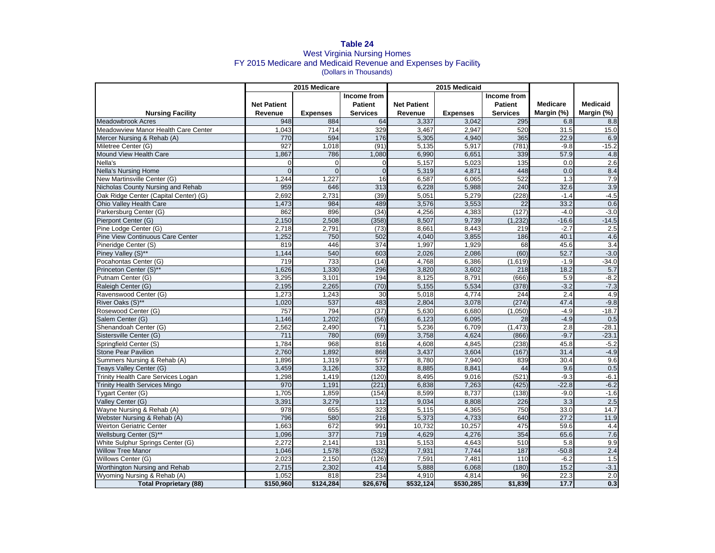## **Table 24** West Virginia Nursing Homes FY 2015 Medicare and Medicaid Revenue and Expenses by Facility (Dollars in Thousands)

|                                       | 2015 Medicare      |                 |                 | 2015 Medicaid      |                 |                 |                 |                  |
|---------------------------------------|--------------------|-----------------|-----------------|--------------------|-----------------|-----------------|-----------------|------------------|
|                                       |                    |                 | Income from     |                    |                 | Income from     |                 |                  |
|                                       | <b>Net Patient</b> |                 | <b>Patient</b>  | <b>Net Patient</b> |                 | <b>Patient</b>  | <b>Medicare</b> | <b>Medicaid</b>  |
| <b>Nursing Facility</b>               | Revenue            | <b>Expenses</b> | <b>Services</b> | Revenue            | <b>Expenses</b> | <b>Services</b> | Margin (%)      | Margin (%)       |
| <b>Meadowbrook Acres</b>              | 948                | 884             | 64              | 3,337              | 3.042           | 295             | 6.8             | 8.8              |
| Meadowview Manor Health Care Center   | 1,043              | 714             | 329             | 3,467              | 2,947           | 520             | 31.5            | 15.0             |
| Mercer Nursing & Rehab (A)            | 770                | 594             | 176             | 5,305              | 4,940           | 365             | 22.9            | 6.9              |
| Miletree Center (G)                   | 927                | 1,018           | (91)            | 5,135              | 5,917           | (781)           | $-9.8$          | $-15.2$          |
| Mound View Health Care                | 1,867              | 786             | 1,080           | 6,990              | 6,651           | 339             | 57.9            | 4.8              |
| Nella's                               | $\Omega$           | $\mathbf 0$     | $\Omega$        | 5,157              | 5,023           | 135             | 0.0             | 2.6              |
| <b>Nella's Nursing Home</b>           | $\Omega$           | $\Omega$        | $\Omega$        | 5,319              | 4.871           | 448             | 0.0             | 8.4              |
| New Martinsville Center (G)           | 1,244              | 1.227           | 16              | 6,587              | 6.065           | 522             | 1.3             | 7.9              |
| Nicholas County Nursing and Rehab     | 959                | 646             | 313             | 6,228              | 5,988           | 240             | 32.6            | 3.9              |
| Oak Ridge Center (Capital Center) (G) | 2,692              | 2.731           | (39)            | 5,051              | 5,279           | (228)           | $-1.4$          | $-4.5$           |
| Ohio Valley Health Care               | 1,473              | 984             | 489             | 3,576              | 3,553           | 22              | 33.2            | 0.6              |
| Parkersburg Center (G)                | 862                | 896             | (34)            | 4,256              | 4,383           | (127)           | $-4.0$          | $-3.0$           |
| Pierpont Center (G)                   | 2,150              | 2,508           | (358)           | 8,507              | 9,739           | (1, 232)        | $-16.6$         | $-14.5$          |
| Pine Lodge Center (G)                 | 2,718              | 2,791           | (73)            | 8,661              | 8,443           | 219             | $-2.7$          | 2.5              |
| Pine View Continuous Care Center      | 1,252              | 750             | 502             | 4,040              | 3,855           | 186             | 40.7            | 4.6              |
| Pineridge Center (S)                  | 819                | 446             | 374             | 1,997              | 1,929           | 68              | 45.6            | $\overline{3.4}$ |
| Piney Valley (S)**                    | 1,144              | 540             | 603             | 2.026              | 2.086           | (60)            | 52.7            | $-3.0$           |
| Pocahontas Center (G)                 | 719                | 733             | (14)            | 4,768              | 6,386           | (1,619)         | $-1.9$          | $-34.0$          |
| Princeton Center (S)**                | 1,626              | 1,330           | 296             | 3,820              | 3,602           | 218             | 18.2            | 5.7              |
| Putnam Center (G)                     | 3,295              | 3,101           | 194             | 8,125              | 8,791           | (666)           | 5.9             | $-8.2$           |
| Raleigh Center (G)                    | 2,195              | 2.265           | (70)            | 5,155              | 5,534           | (378)           | $-3.2$          | $-7.3$           |
| Ravenswood Center (G)                 | 1,273              | 1,243           | 30              | 5,018              | 4,774           | 244             | 2.4             | 4.9              |
| River Oaks (S)**                      | 1,020              | 537             | 483             | 2,804              | 3,078           | (274)           | 47.4            | $-9.8$           |
| Rosewood Center (G)                   | 757                | 794             | (37)            | 5,630              | 6,680           | (1,050)         | $-4.9$          | $-18.7$          |
| Salem Center (G)                      | 1,146              | 1,202           | (56)            | 6,123              | 6,095           | 28              | $-4.9$          | 0.5              |
| Shenandoah Center (G)                 | 2,562              | 2.490           | 71              | 5,236              | 6,709           | (1, 473)        | 2.8             | $-28.1$          |
| Sistersville Center (G)               | 711                | 780             | (69)            | 3,758              | 4.624           | (866)           | $-9.7$          | $-23.1$          |
| Springfield Center (S)                | 1,784              | 968             | 816             | 4,608              | 4,845           | (238)           | 45.8            | $-5.2$           |
| <b>Stone Pear Pavilion</b>            | 2,760              | 1.892           | 868             | 3,437              | 3,604           | (167)           | 31.4            | $-4.9$           |
| Summers Nursing & Rehab (A)           | 1,896              | 1,319           | 577             | 8,780              | 7,940           | 839             | 30.4            | 9.6              |
| Teays Valley Center (G)               | 3,459              | 3,126           | 332             | 8,885              | 8.841           | 44              | 9.6             | 0.5              |
| Trinity Health Care Services Logan    | 1,298              | 1,419           | (120)           | 8,495              | 9,016           | (521)           | $-9.3$          | $-6.1$           |
| <b>Trinity Health Services Mingo</b>  | 970                | 1,191           | (221)           | 6,838              | 7,263           | (425)           | $-22.8$         | $-6.2$           |
| Tygart Center (G)                     | 1,705              | 1,859           | (154)           | 8,599              | 8,737           | (138)           | $-9.0$          | $-1.6$           |
| Valley Center (G)                     | 3,391              | 3,279           | 112             | 9,034              | 8,808           | 226             | 3.3             | 2.5              |
| Wayne Nursing & Rehab (A)             | 978                | 655             | 323             | 5,115              | 4,365           | 750             | 33.0            | 14.7             |
| Webster Nursing & Rehab (A)           | 796                | 580             | 216             | 5,373              | 4,733           | 640             | 27.2            | 11.9             |
| <b>Weirton Geriatric Center</b>       | 1.663              | 672             | 991             | 10.732             | 10.257          | 475             | 59.6            | 4.4              |
| Wellsburg Center (S)**                | 1,096              | 377             | 719             | 4,629              | 4,276           | 354             | 65.6            | 7.6              |
| White Sulphur Springs Center (G)      | 2,272              | 2,141           | 131             | 5,153              | 4,643           | 510             | 5.8             | 9.9              |
| <b>Willow Tree Manor</b>              | 1,046              | 1,578           | (532)           | 7,931              | 7,744           | 187             | $-50.8$         | $\overline{2.4}$ |
| Willows Center (G)                    | 2,023              | 2,150           | (126)           | 7,591              | 7,481           | 110             | $-6.2$          | 1.5              |
| Worthington Nursing and Rehab         | 2,715              | 2,302           | 414             | 5,888              | 6,068           | (180)           | 15.2            | $-3.1$           |
| Wyoming Nursing & Rehab (A)           | 1,052              | 818             | 234             | 4,910              | 4,814           | 96              | 22.3            | 2.0              |
| <b>Total Proprietary (88)</b>         | \$150,960          | \$124,284       | \$26,676        | \$532,124          | \$530,285       | \$1,839         | 17.7            | 0.3              |